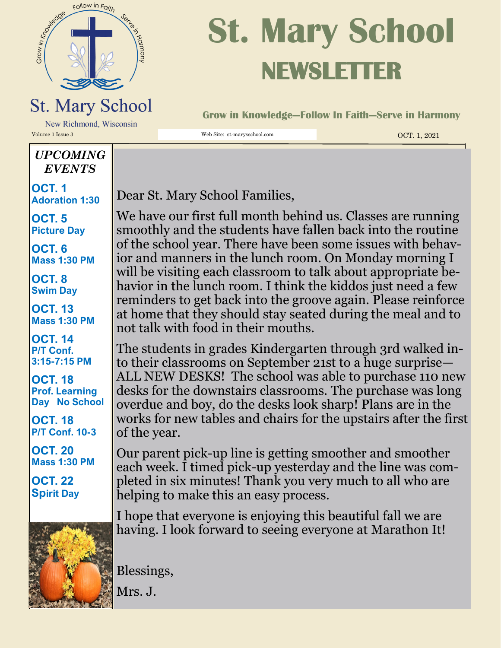

# **St. Mary School NEWSLETTER**

**Grow in Knowledge—Follow In Faith—Serve in Harmony**

New Richmond, Wisconsin Volume 1 Issue 3 Web Site: st-marysschool.com OCT. 1, 2021

#### *UPCOMING EVENTS*

**OCT. 1 Adoration 1:30**

**OCT. 5 Picture Day**

**OCT. 6 Mass 1:30 PM**

**OCT. 8 Swim Day**

**OCT. 13 Mass 1:30 PM**

**OCT. 14 P/T Conf. 3:15-7:15 PM**

**OCT. 18 Prof. Learning Day No School**

**OCT. 18 P/T Conf. 10-3**

**OCT. 20 Mass 1:30 PM**

**OCT. 22 Spirit Day**



Dear St. Mary School Families,

We have our first full month behind us. Classes are running smoothly and the students have fallen back into the routine of the school year. There have been some issues with behavior and manners in the lunch room. On Monday morning I will be visiting each classroom to talk about appropriate behavior in the lunch room. I think the kiddos just need a few reminders to get back into the groove again. Please reinforce at home that they should stay seated during the meal and to not talk with food in their mouths.

The students in grades Kindergarten through 3rd walked into their classrooms on September 21st to a huge surprise— ALL NEW DESKS! The school was able to purchase 110 new desks for the downstairs classrooms. The purchase was long overdue and boy, do the desks look sharp! Plans are in the works for new tables and chairs for the upstairs after the first of the year.

Our parent pick-up line is getting smoother and smoother each week. I timed pick-up yesterday and the line was completed in six minutes! Thank you very much to all who are helping to make this an easy process.

I hope that everyone is enjoying this beautiful fall we are having. I look forward to seeing everyone at Marathon It!

Blessings,

Mrs. J.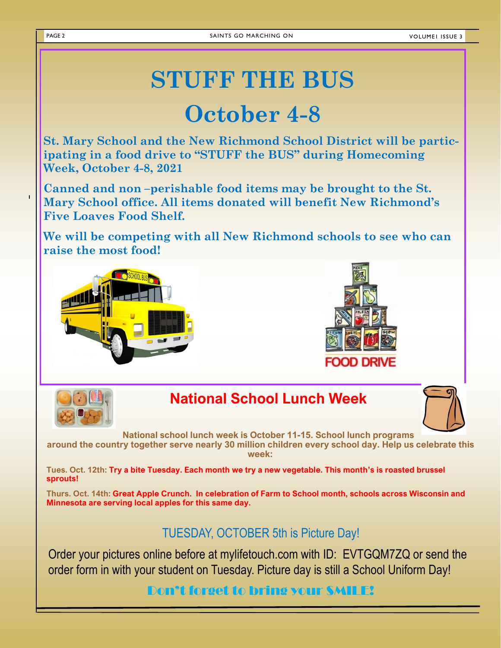**VOLUMEI ISSUE 3** 

# **STUFF THE BUS**

## **October 4-8**

**St. Mary School and the New Richmond School District will be participating in a food drive to "STUFF the BUS" during Homecoming Week, October 4-8, 2021**

**Canned and non –perishable food items may be brought to the St. Mary School office. All items donated will benefit New Richmond's Five Loaves Food Shelf.**

**We will be competing with all New Richmond schools to see who can raise the most food!**







#### **National School Lunch Week**



**National school lunch week is October 11-15. School lunch programs** 

**around the country together serve nearly 30 million children every school day. Help us celebrate this week:**

**Tues. Oct. 12th: Try a bite Tuesday. Each month we try a new vegetable. This month's is roasted brussel sprouts!**

**Thurs. Oct. 14th: Great Apple Crunch. In celebration of Farm to School month, schools across Wisconsin and Minnesota are serving local apples for this same day.**

TUESDAY, OCTOBER 5th is Picture Day!

Order your pictures online before at mylifetouch.com with ID: EVTGQM7ZQ or send the order form in with your student on Tuesday. Picture day is still a School Uniform Day!

Don't forget to bring your SMILE!